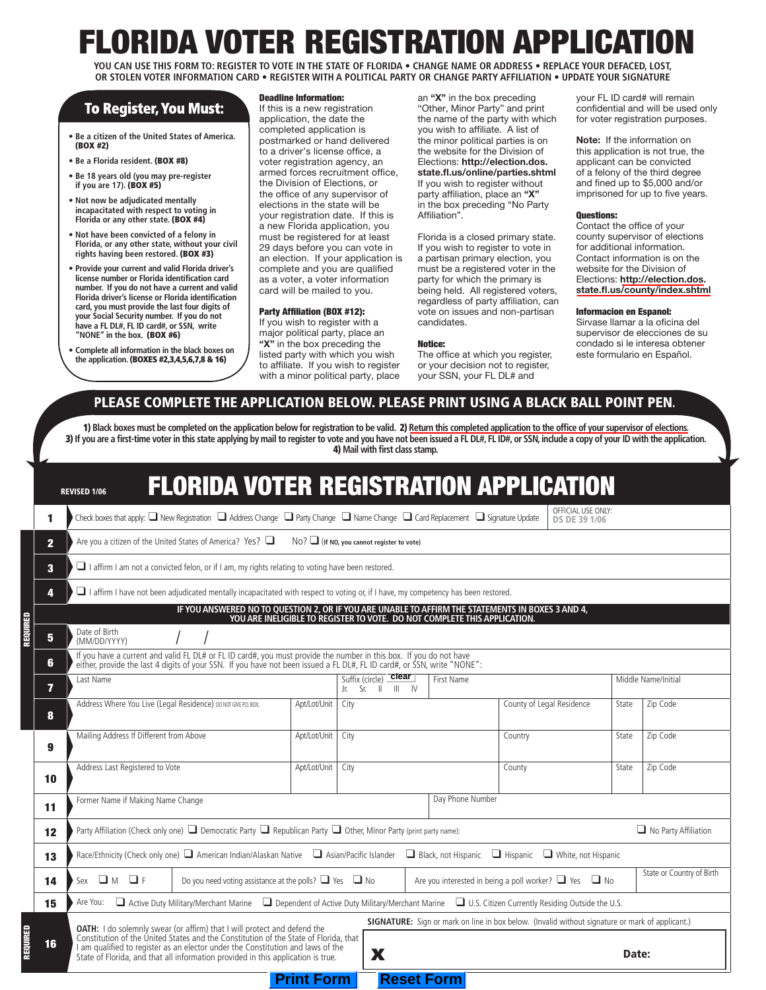# RIDA VOTER REGISTRATION APPLICA

**YOU CAN USE THIS FORM TO: REGISTER TO VOTE IN THE STATE OF FLORIDA • CHANGE NAME OR ADDRESS • REPLACE YOUR DEFACED, LOST, OR STOLEN VOTER INFORMATION CARD • REGISTER WITH A POLITICAL PARTY OR CHANGE PARTY AFFILIATION • UPDATE YOUR SIGNATURE**

## **To Register, You Must:**

- **Be a citizen of the United States of America.**  (BOX #2)
- **Be a Florida resident.** (BOX #8)
- **Be 18 years old (you may pre-register if you are 17).** (BOX #5)
- **Not now be adjudicated mentally incapacitated with respect to voting in**  Florida or any other state. (BOX #4)
- **Not have been convicted of a felony in Florida, or any other state, without your civil rights having been restored.** (BOX #3)
- **Provide your current and valid Florida driver's license number or Florida identification card number. If you do not have a current and valid Florida driver's license or Florida identification card, you must provide the last four digits of your Social Security number. If you do not have a FL DL#, FL ID card#, or SSN, write "NONE" in the box.** (BOX #6)
- **Complete all information in the black boxes on the application.** (BOXES #2,3,4,5,6,7,8 & 16)

#### Deadline Information:

If this is a new registration application, the date the completed application is postmarked or hand delivered to a driver's license office, a voter registration agency, an armed forces recruitment office, the Division of Elections, or the office of any supervisor of elections in the state will be your registration date. If this is a new Florida application, you must be registered for at least 29 days before you can vote in an election. If your application is complete and you are qualified as a voter, a voter information card will be mailed to you.

#### Party Affiliation (BOX #12):

If you wish to register with a major political party, place an **"X"** in the box preceding the listed party with which you wish to affiliate. If you wish to register with a minor political party, place an **"X"** in the box preceding "Other, Minor Party" and print the name of the party with which you wish to affiliate. A list of the minor political parties is on the website for the Division of Elections: **http://election.dos. state.fl.us/online/parties.shtml**  If you wish to register without party affiliation, place an **"X"** in the box preceding "No Party Affiliation".

Florida is a closed primary state. If you wish to register to vote in a partisan primary election, you must be a registered voter in the party for which the primary is being held. All registered voters, regardless of party affiliation, can vote on issues and non-partisan candidates.

#### Notice:

The office at which you register, or your decision not to register, your SSN, your FL DL# and

your FL ID card# will remain confidential and will be used only for voter registration purposes.

**Note:** If the information on this application is not true, the applicant can be convicted of a felony of the third degree and fined up to \$5,000 and/or imprisoned for up to five years.

#### Questions:

Contact the office of your county supervisor of elections for additional information. Contact information is on the website for the Division of Elections: **[http://election.dos.](http://election.dos.state.fl.us/county/index.shtml) [state.fl.us/county/index.shtml](http://election.dos.state.fl.us/county/index.shtml)**

#### Informacion en Espanol:

Sirvase llamar a la oficina del supervisor de elecciones de su condado si le interesa obtener este formulario en Español.

## PLEASE COMPLETE THE APPLICATION BELOW. PLEASE PRINT USING A BLACK BALL POINT PEN.

1) Black boxes must be completed on the application below for registration to be valid. 2) Return this completed application to the office of your supervisor of elections. 3) If you are a first-time voter in this state applying by mail to register to vote and you have not been issued a FL DL#, FL ID#, or SSN, include a copy of your ID with the application. 4) **Mail with first class stamp.**

|                                                                                                                                                                                                          |                                                                                                                                        | <b>FLORIDA VOTER REGISTRATION APPLICATION</b><br><b>REVISED 1/06</b>                                                                                                                                                                                                                                                                                              |                                                                  |              |                                                                               |                                                                 |                           |                     |                             |
|----------------------------------------------------------------------------------------------------------------------------------------------------------------------------------------------------------|----------------------------------------------------------------------------------------------------------------------------------------|-------------------------------------------------------------------------------------------------------------------------------------------------------------------------------------------------------------------------------------------------------------------------------------------------------------------------------------------------------------------|------------------------------------------------------------------|--------------|-------------------------------------------------------------------------------|-----------------------------------------------------------------|---------------------------|---------------------|-----------------------------|
| OFFICIAL USE ONLY:<br>Check boxes that apply: $\Box$ New Registration $\Box$ Address Change $\Box$ Party Change $\Box$ Name Change $\Box$ Card Replacement $\Box$ Signature Update<br>1<br>DS DE 39 1/06 |                                                                                                                                        |                                                                                                                                                                                                                                                                                                                                                                   |                                                                  |              |                                                                               |                                                                 |                           |                     |                             |
|                                                                                                                                                                                                          | $\overline{\mathbf{2}}$                                                                                                                | Are you a citizen of the United States of America? Yes? $\Box$<br>$No?$ If NO, you cannot register to vote)                                                                                                                                                                                                                                                       |                                                                  |              |                                                                               |                                                                 |                           |                     |                             |
|                                                                                                                                                                                                          | $\mathbf{3}$                                                                                                                           | $\Box$ I affirm I am not a convicted felon, or if I am, my rights relating to voting have been restored.                                                                                                                                                                                                                                                          |                                                                  |              |                                                                               |                                                                 |                           |                     |                             |
|                                                                                                                                                                                                          | 4                                                                                                                                      | $\Box$ I affirm I have not been adjudicated mentally incapacitated with respect to voting or, if I have, my competency has been restored.<br>IF YOU ANSWERED NO TO QUESTION 2, OR IF YOU ARE UNABLE TO AFFIRM THE STATEMENTS IN BOXES 3 AND 4,<br>YOU ARE INELIGIBLE TO REGISTER TO VOTE. DO NOT COMPLETE THIS APPLICATION.<br>Date of Birth<br>5<br>(MM/DD/YYYY) |                                                                  |              |                                                                               |                                                                 |                           |                     |                             |
|                                                                                                                                                                                                          |                                                                                                                                        |                                                                                                                                                                                                                                                                                                                                                                   |                                                                  |              |                                                                               |                                                                 |                           |                     |                             |
| REQUIRED                                                                                                                                                                                                 |                                                                                                                                        |                                                                                                                                                                                                                                                                                                                                                                   |                                                                  |              |                                                                               |                                                                 |                           |                     |                             |
|                                                                                                                                                                                                          | 6.                                                                                                                                     | If you have a current and valid FL DL# or FL ID card#, you must provide the number in this box. If you do not have<br>either, provide the last 4 digits of your SSN. If you have not been issued a FL DL#, FL ID card#, or SSN, w                                                                                                                                 |                                                                  |              |                                                                               |                                                                 |                           |                     |                             |
|                                                                                                                                                                                                          | 7                                                                                                                                      | Last Name                                                                                                                                                                                                                                                                                                                                                         |                                                                  |              | $clear$<br>Suffix (circle)<br><b>First Name</b><br>Jr. $Sr.$ $  $<br>$III$ IV |                                                                 |                           | Middle Name/Initial |                             |
|                                                                                                                                                                                                          | 8                                                                                                                                      | Address Where You Live (Legal Residence) DO NOT GIVE P.O. BOX.                                                                                                                                                                                                                                                                                                    |                                                                  | Apt/Lot/Unit | City                                                                          |                                                                 | County of Legal Residence | State               | Zip Code                    |
|                                                                                                                                                                                                          | 9                                                                                                                                      | Mailing Address If Different from Above                                                                                                                                                                                                                                                                                                                           |                                                                  | Apt/Lot/Unit | City                                                                          |                                                                 | Country                   | State               | Zip Code                    |
|                                                                                                                                                                                                          | 10                                                                                                                                     | Address Last Registered to Vote                                                                                                                                                                                                                                                                                                                                   |                                                                  | Apt/Lot/Unit | City                                                                          |                                                                 | County                    | State               | Zip Code                    |
|                                                                                                                                                                                                          | Day Phone Number<br>Former Name if Making Name Change<br>11                                                                            |                                                                                                                                                                                                                                                                                                                                                                   |                                                                  |              |                                                                               |                                                                 |                           |                     |                             |
|                                                                                                                                                                                                          | Party Affiliation (Check only one) $\Box$ Democratic Party $\Box$ Republican Party $\Box$ Other, Minor Party (print party name):<br>12 |                                                                                                                                                                                                                                                                                                                                                                   |                                                                  |              |                                                                               |                                                                 |                           |                     | $\Box$ No Party Affiliation |
|                                                                                                                                                                                                          | 13                                                                                                                                     | Race/Ethnicity (Check only one) $\Box$ American Indian/Alaskan Native $\Box$ Asian/Pacific Islander $\Box$ Black, not Hispanic $\Box$ Hispanic $\Box$ White, not Hispanic                                                                                                                                                                                         |                                                                  |              |                                                                               |                                                                 |                           |                     |                             |
|                                                                                                                                                                                                          | 14                                                                                                                                     | Sex $\Box$ M $\Box$ F                                                                                                                                                                                                                                                                                                                                             | Do you need voting assistance at the polls? $\Box$ Yes $\Box$ No |              |                                                                               | Are you interested in being a poll worker? $\Box$ Yes $\Box$ No |                           |                     | State or Country of Birth   |
|                                                                                                                                                                                                          | 15                                                                                                                                     | □ Active Duty Military/Merchant Marine □ Dependent of Active Duty Military/Merchant Marine □ U.S. Citizen Currently Residing Outside the U.S.<br>Are You:                                                                                                                                                                                                         |                                                                  |              |                                                                               |                                                                 |                           |                     |                             |
|                                                                                                                                                                                                          |                                                                                                                                        | <b>SIGNATURE:</b> Sign or mark on line in box below. (Invalid without signature or mark of applicant.)<br><b>OATH:</b> I do solemnly swear (or affirm) that I will protect and defend the Constitution of the United States and the Constitution of the State of Florida, that                                                                                    |                                                                  |              |                                                                               |                                                                 |                           |                     |                             |
| REQUIRED                                                                                                                                                                                                 | 16                                                                                                                                     | I am qualified to register as an elector under the Constitution and laws of the State of Florida, and that all information provided in this application is true.<br>X<br>Date:                                                                                                                                                                                    |                                                                  |              |                                                                               |                                                                 |                           |                     |                             |
| <b>Reset Form</b><br><b>Print Form</b>                                                                                                                                                                   |                                                                                                                                        |                                                                                                                                                                                                                                                                                                                                                                   |                                                                  |              |                                                                               |                                                                 |                           |                     |                             |